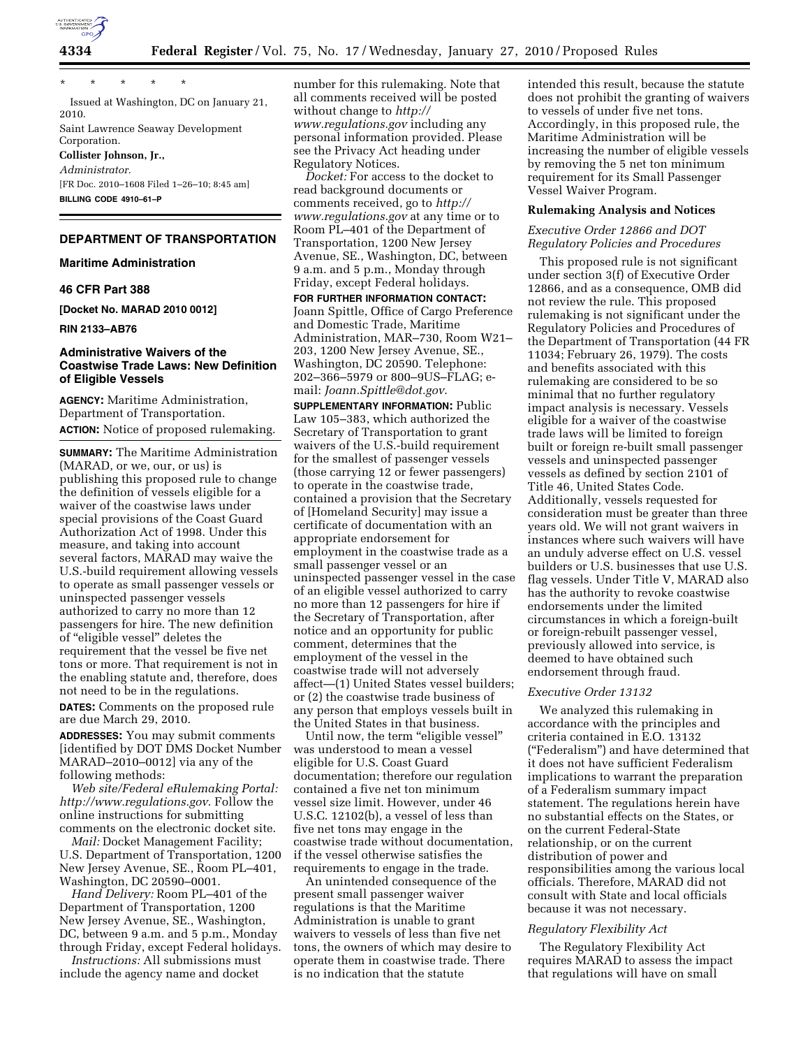

\* \* \* \* \*

Issued at Washington, DC on January 21, 2010. Saint Lawrence Seaway Development Corporation. **Collister Johnson, Jr.,** 

*Administrator.*  [FR Doc. 2010–1608 Filed 1–26–10; 8:45 am] **BILLING CODE 4910–61–P** 

# **DEPARTMENT OF TRANSPORTATION**

## **Maritime Administration**

# **46 CFR Part 388**

**[Docket No. MARAD 2010 0012]** 

**RIN 2133–AB76** 

# **Administrative Waivers of the Coastwise Trade Laws: New Definition of Eligible Vessels**

**AGENCY:** Maritime Administration, Department of Transportation. **ACTION:** Notice of proposed rulemaking.

**SUMMARY:** The Maritime Administration (MARAD, or we, our, or us) is publishing this proposed rule to change the definition of vessels eligible for a waiver of the coastwise laws under special provisions of the Coast Guard Authorization Act of 1998. Under this measure, and taking into account several factors, MARAD may waive the U.S.-build requirement allowing vessels to operate as small passenger vessels or uninspected passenger vessels authorized to carry no more than 12 passengers for hire. The new definition of ''eligible vessel'' deletes the requirement that the vessel be five net tons or more. That requirement is not in the enabling statute and, therefore, does not need to be in the regulations.

**DATES:** Comments on the proposed rule are due March 29, 2010.

**ADDRESSES:** You may submit comments [identified by DOT DMS Docket Number MARAD–2010–0012] via any of the following methods:

*Web site/Federal eRulemaking Portal: http://www.regulations.gov*. Follow the online instructions for submitting comments on the electronic docket site.

*Mail: Docket Management Facility;* U.S. Department of Transportation, 1200 New Jersey Avenue, SE., Room PL–401, Washington, DC 20590–0001.

*Hand Delivery:* Room PL–401 of the Department of Transportation, 1200 New Jersey Avenue, SE., Washington, DC, between 9 a.m. and 5 p.m., Monday through Friday, except Federal holidays.

*Instructions:* All submissions must include the agency name and docket

number for this rulemaking. Note that all comments received will be posted without change to *http:// www.regulations.gov* including any personal information provided. Please see the Privacy Act heading under Regulatory Notices.

*Docket:* For access to the docket to read background documents or comments received, go to *http:// www.regulations.gov* at any time or to Room PL–401 of the Department of Transportation, 1200 New Jersey Avenue, SE., Washington, DC, between 9 a.m. and 5 p.m., Monday through Friday, except Federal holidays.

**FOR FURTHER INFORMATION CONTACT:**  Joann Spittle, Office of Cargo Preference and Domestic Trade, Maritime Administration, MAR–730, Room W21– 203, 1200 New Jersey Avenue, SE., Washington, DC 20590. Telephone: 202–366–5979 or 800–9US–FLAG; email: *Joann.Spittle@dot.gov*.

**SUPPLEMENTARY INFORMATION:** Public Law 105–383, which authorized the Secretary of Transportation to grant waivers of the U.S.-build requirement for the smallest of passenger vessels (those carrying 12 or fewer passengers) to operate in the coastwise trade, contained a provision that the Secretary of [Homeland Security] may issue a certificate of documentation with an appropriate endorsement for employment in the coastwise trade as a small passenger vessel or an uninspected passenger vessel in the case of an eligible vessel authorized to carry no more than 12 passengers for hire if the Secretary of Transportation, after notice and an opportunity for public comment, determines that the employment of the vessel in the coastwise trade will not adversely affect—(1) United States vessel builders; or (2) the coastwise trade business of any person that employs vessels built in the United States in that business.

Until now, the term "eligible vessel" was understood to mean a vessel eligible for U.S. Coast Guard documentation; therefore our regulation contained a five net ton minimum vessel size limit. However, under 46 U.S.C. 12102(b), a vessel of less than five net tons may engage in the coastwise trade without documentation, if the vessel otherwise satisfies the requirements to engage in the trade.

An unintended consequence of the present small passenger waiver regulations is that the Maritime Administration is unable to grant waivers to vessels of less than five net tons, the owners of which may desire to operate them in coastwise trade. There is no indication that the statute

intended this result, because the statute does not prohibit the granting of waivers to vessels of under five net tons. Accordingly, in this proposed rule, the Maritime Administration will be increasing the number of eligible vessels by removing the 5 net ton minimum requirement for its Small Passenger Vessel Waiver Program.

# **Rulemaking Analysis and Notices**

## *Executive Order 12866 and DOT Regulatory Policies and Procedures*

This proposed rule is not significant under section 3(f) of Executive Order 12866, and as a consequence, OMB did not review the rule. This proposed rulemaking is not significant under the Regulatory Policies and Procedures of the Department of Transportation (44 FR 11034; February 26, 1979). The costs and benefits associated with this rulemaking are considered to be so minimal that no further regulatory impact analysis is necessary. Vessels eligible for a waiver of the coastwise trade laws will be limited to foreign built or foreign re-built small passenger vessels and uninspected passenger vessels as defined by section 2101 of Title 46, United States Code. Additionally, vessels requested for consideration must be greater than three years old. We will not grant waivers in instances where such waivers will have an unduly adverse effect on U.S. vessel builders or U.S. businesses that use U.S. flag vessels. Under Title V, MARAD also has the authority to revoke coastwise endorsements under the limited circumstances in which a foreign-built or foreign-rebuilt passenger vessel, previously allowed into service, is deemed to have obtained such endorsement through fraud.

## *Executive Order 13132*

We analyzed this rulemaking in accordance with the principles and criteria contained in E.O. 13132 (''Federalism'') and have determined that it does not have sufficient Federalism implications to warrant the preparation of a Federalism summary impact statement. The regulations herein have no substantial effects on the States, or on the current Federal-State relationship, or on the current distribution of power and responsibilities among the various local officials. Therefore, MARAD did not consult with State and local officials because it was not necessary.

## *Regulatory Flexibility Act*

The Regulatory Flexibility Act requires MARAD to assess the impact that regulations will have on small